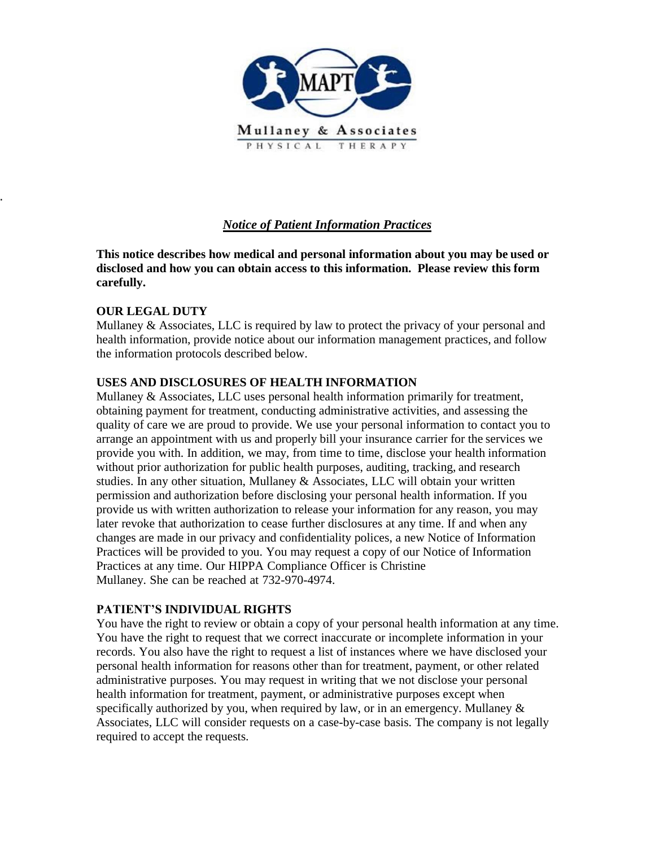

## *Notice of Patient Information Practices*

**This notice describes how medical and personal information about you may be used or disclosed and how you can obtain access to this information. Please review this form carefully.**

### **OUR LEGAL DUTY**

.

Mullaney  $\&$  Associates, LLC is required by law to protect the privacy of your personal and health information, provide notice about our information management practices, and follow the information protocols described below.

#### **USES AND DISCLOSURES OF HEALTH INFORMATION**

Mullaney  $\&$  Associates, LLC uses personal health information primarily for treatment, obtaining payment for treatment, conducting administrative activities, and assessing the quality of care we are proud to provide. We use your personal information to contact you to arrange an appointment with us and properly bill your insurance carrier for the services we provide you with. In addition, we may, from time to time, disclose your health information without prior authorization for public health purposes, auditing, tracking, and research studies. In any other situation, Mullaney & Associates, LLC will obtain your written permission and authorization before disclosing your personal health information. If you provide us with written authorization to release your information for any reason, you may later revoke that authorization to cease further disclosures at any time. If and when any changes are made in our privacy and confidentiality polices, a new Notice of Information Practices will be provided to you. You may request a copy of our Notice of Information Practices at any time. Our HIPPA Compliance Officer is Christine Mullaney. She can be reached at 732-970-4974.

#### **PATIENT'S INDIVIDUAL RIGHTS**

You have the right to review or obtain a copy of your personal health information at any time. You have the right to request that we correct inaccurate or incomplete information in your records. You also have the right to request a list of instances where we have disclosed your personal health information for reasons other than for treatment, payment, or other related administrative purposes. You may request in writing that we not disclose your personal health information for treatment, payment, or administrative purposes except when specifically authorized by you, when required by law, or in an emergency. Mullaney  $\&$ Associates, LLC will consider requests on a case-by-case basis. The company is not legally required to accept the requests.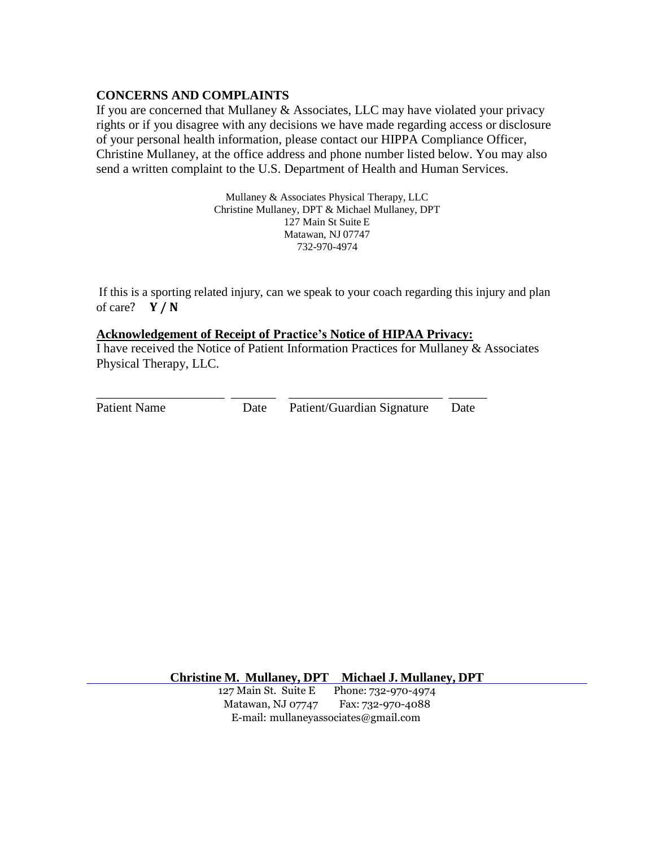#### **CONCERNS AND COMPLAINTS**

If you are concerned that Mullaney & Associates, LLC may have violated your privacy rights or if you disagree with any decisions we have made regarding access or disclosure of your personal health information, please contact our HIPPA Compliance Officer, Christine Mullaney, at the office address and phone number listed below. You may also send a written complaint to the U.S. Department of Health and Human Services.

> Mullaney & Associates Physical Therapy, LLC Christine Mullaney, DPT & Michael Mullaney, DPT 127 Main St Suite E Matawan, NJ 07747 732-970-4974

If this is a sporting related injury, can we speak to your coach regarding this injury and plan of care? **Y / N**

#### **Acknowledgement of Receipt of Practice's Notice of HIPAA Privacy:**

\_\_\_\_\_\_\_\_\_\_\_\_\_\_\_\_\_\_\_\_ \_\_\_\_\_\_\_ \_\_\_\_\_\_\_\_\_\_\_\_\_\_\_\_\_\_\_\_\_\_\_\_ \_\_\_\_\_\_

I have received the Notice of Patient Information Practices for Mullaney & Associates Physical Therapy, LLC.

Patient Name **Date** Patient/Guardian Signature Date

**Christine M. Mullaney, DPT Michael J. Mullaney, DPT**

127 Main St. Suite E Phone: 732-970-4974 Matawan, NJ 07747 Fax: 732-970-4088 E-mail: mullaneyassociates@gmail.com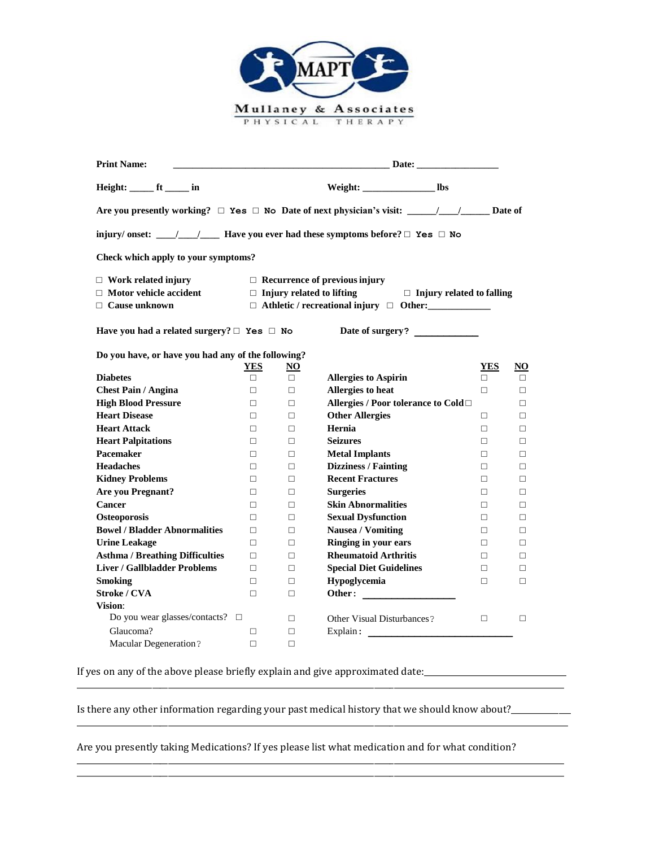

| <b>Print Name:</b>                                                                  | Date:<br><u> 1989 - Johann Barn, mars ann an t-Amhain an t-Amhain an t-Amhain an t-Amhain an t-Amhain an t-Amhain an t-Amh</u> |                 |                                                                                                              |            |           |  |
|-------------------------------------------------------------------------------------|--------------------------------------------------------------------------------------------------------------------------------|-----------------|--------------------------------------------------------------------------------------------------------------|------------|-----------|--|
| Height: _______ ft _______ in                                                       |                                                                                                                                |                 | Weight: ______________________ lbs                                                                           |            |           |  |
|                                                                                     |                                                                                                                                |                 | Are you presently working? $\Box$ Yes $\Box$ No Date of next physician's visit: _____/___/_______ Date of    |            |           |  |
|                                                                                     |                                                                                                                                |                 | injury/ onset: _____/_____/ Have you ever had these symptoms before? $\Box$ Yes $\Box$ No                    |            |           |  |
| Check which apply to your symptoms?                                                 |                                                                                                                                |                 |                                                                                                              |            |           |  |
| $\Box$ Work related injury<br>$\Box$ Motor vehicle accident<br>$\Box$ Cause unknown |                                                                                                                                |                 | $\Box$ Recurrence of previous injury<br>$\Box$ Injury related to lifting<br>$\Box$ Injury related to falling |            |           |  |
| Have you had a related surgery? $\Box$ Yes $\Box$ No                                |                                                                                                                                |                 | Date of surgery?                                                                                             |            |           |  |
| Do you have, or have you had any of the following?                                  | <b>YES</b>                                                                                                                     | $\overline{NQ}$ |                                                                                                              | <b>YES</b> | <u>NO</u> |  |
| <b>Diabetes</b>                                                                     | П.                                                                                                                             | $\Box$          | <b>Allergies to Aspirin</b>                                                                                  | П.         | $\Box$    |  |
| <b>Chest Pain / Angina</b>                                                          | $\Box$                                                                                                                         | $\Box$          | Allergies to heat                                                                                            | $\Box$     | $\Box$    |  |
| <b>High Blood Pressure</b>                                                          | $\Box$                                                                                                                         | $\Box$          | Allergies / Poor tolerance to Cold□                                                                          |            | $\Box$    |  |
| <b>Heart Disease</b>                                                                | П.                                                                                                                             | $\Box$          | <b>Other Allergies</b>                                                                                       | $\Box$     | П         |  |
| <b>Heart Attack</b>                                                                 | $\Box$                                                                                                                         | $\Box$          | Hernia                                                                                                       | $\Box$     | $\Box$    |  |
| <b>Heart Palpitations</b>                                                           | П.                                                                                                                             | П.              | <b>Seizures</b>                                                                                              | П.         | П         |  |
| Pacemaker                                                                           | П.                                                                                                                             | $\Box$          | <b>Metal Implants</b>                                                                                        | $\Box$     | $\Box$    |  |
| <b>Headaches</b>                                                                    | П.                                                                                                                             | $\Box$          | <b>Dizziness / Fainting</b>                                                                                  | $\Box$     | $\Box$    |  |
| <b>Kidney Problems</b>                                                              | П                                                                                                                              | $\Box$          | <b>Recent Fractures</b>                                                                                      | $\Box$     | $\Box$    |  |
| <b>Are you Pregnant?</b>                                                            | $\Box$                                                                                                                         | $\Box$          | <b>Surgeries</b>                                                                                             | $\Box$     | $\Box$    |  |
| <b>Cancer</b>                                                                       | П                                                                                                                              | $\Box$          | <b>Skin Abnormalities</b>                                                                                    | $\Box$     | $\Box$    |  |
| <b>Osteoporosis</b>                                                                 | П                                                                                                                              | $\Box$          | <b>Sexual Dysfunction</b>                                                                                    | $\Box$     | $\Box$    |  |
| <b>Bowel / Bladder Abnormalities</b>                                                | П                                                                                                                              | $\Box$          | <b>Nausea / Vomiting</b>                                                                                     | $\Box$     | П         |  |
| <b>Urine Leakage</b>                                                                | П                                                                                                                              | $\Box$          | Ringing in your ears                                                                                         | П          | $\Box$    |  |
| <b>Asthma / Breathing Difficulties</b>                                              | $\Box$                                                                                                                         | $\Box$          | <b>Rheumatoid Arthritis</b>                                                                                  | $\Box$     | $\Box$    |  |
| <b>Liver / Gallbladder Problems</b>                                                 | П                                                                                                                              | $\Box$          | <b>Special Diet Guidelines</b>                                                                               | $\Box$     | $\Box$    |  |
| <b>Smoking</b>                                                                      | $\Box$                                                                                                                         | $\Box$          | Hypoglycemia                                                                                                 | $\Box$     | $\Box$    |  |
| <b>Stroke / CVA</b>                                                                 | П                                                                                                                              | $\Box$          | Other:                                                                                                       |            |           |  |
| Vision:                                                                             |                                                                                                                                |                 |                                                                                                              |            |           |  |
| Do you wear glasses/contacts? □                                                     |                                                                                                                                | $\Box$          | <b>Other Visual Disturbances?</b>                                                                            | $\Box$     | $\Box$    |  |
| Glaucoma?                                                                           | □                                                                                                                              | $\Box$          |                                                                                                              |            |           |  |
| <b>Macular Degeneration?</b>                                                        | П                                                                                                                              | $\Box$          |                                                                                                              |            |           |  |

If yes on any of the above please briefly explain and give approximated date:

Is there any other information regarding your past medical history that we should know about?\_\_\_\_\_\_\_\_\_\_\_\_\_\_\_\_\_

\_\_\_\_\_\_\_\_\_\_\_\_\_\_\_\_\_\_\_\_\_\_\_\_\_\_\_\_\_\_\_\_\_\_\_\_\_\_\_\_\_\_\_\_\_\_\_\_\_\_\_\_\_\_\_\_\_\_\_\_\_\_\_\_\_\_\_\_\_\_\_\_\_\_\_\_\_\_\_\_\_\_\_\_\_\_\_\_\_\_\_\_\_\_\_\_\_\_\_\_\_\_\_\_\_\_\_\_\_\_\_\_\_\_\_\_\_\_\_\_\_\_\_

\_\_\_\_\_\_\_\_\_\_\_\_\_\_\_\_\_\_\_\_\_\_\_\_\_\_\_\_\_\_\_\_\_\_\_\_\_\_\_\_\_\_\_\_\_\_\_\_\_\_\_\_\_\_\_\_\_\_\_\_\_\_\_\_\_\_\_\_\_\_\_\_\_\_\_\_\_\_\_\_\_\_\_\_\_\_\_\_\_\_\_\_\_\_\_\_\_\_\_\_\_\_\_\_\_\_\_\_\_\_\_\_\_\_\_\_\_\_\_\_\_\_\_\_

\_\_\_\_\_\_\_\_\_\_\_\_\_\_\_\_\_\_\_\_\_\_\_\_\_\_\_\_\_\_\_\_\_\_\_\_\_\_\_\_\_\_\_\_\_\_\_\_\_\_\_\_\_\_\_\_\_\_\_\_\_\_\_\_\_\_\_\_\_\_\_\_\_\_\_\_\_\_\_\_\_\_\_\_\_\_\_\_\_\_\_\_\_\_\_\_\_\_\_\_\_\_\_\_\_\_\_\_\_\_\_\_\_\_\_\_\_\_\_\_\_\_\_ \_\_\_\_\_\_\_\_\_\_\_\_\_\_\_\_\_\_\_\_\_\_\_\_\_\_\_\_\_\_\_\_\_\_\_\_\_\_\_\_\_\_\_\_\_\_\_\_\_\_\_\_\_\_\_\_\_\_\_\_\_\_\_\_\_\_\_\_\_\_\_\_\_\_\_\_\_\_\_\_\_\_\_\_\_\_\_\_\_\_\_\_\_\_\_\_\_\_\_\_\_\_\_\_\_\_\_\_\_\_\_\_\_\_\_\_\_\_\_\_\_\_\_

Are you presently taking Medications? If yes please list what medication and for what condition?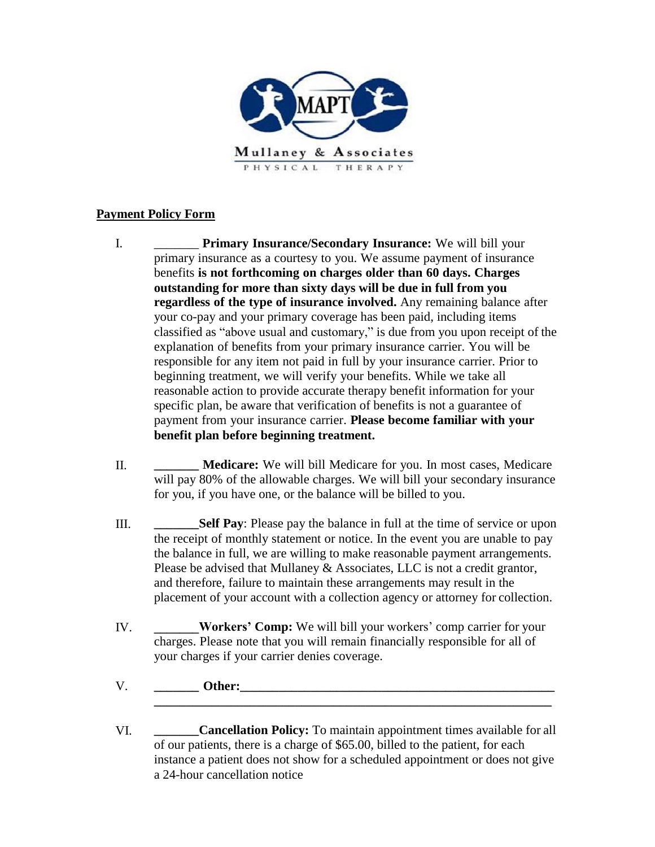

## **Payment Policy Form**

- I. \_\_\_\_\_\_\_ **Primary Insurance/Secondary Insurance:** We will bill your primary insurance as a courtesy to you. We assume payment of insurance benefits **is not forthcoming on charges older than 60 days. Charges outstanding for more than sixty days will be due in full from you regardless of the type of insurance involved.** Any remaining balance after your co-pay and your primary coverage has been paid, including items classified as "above usual and customary," is due from you upon receipt of the explanation of benefits from your primary insurance carrier. You will be responsible for any item not paid in full by your insurance carrier. Prior to beginning treatment, we will verify your benefits. While we take all reasonable action to provide accurate therapy benefit information for your specific plan, be aware that verification of benefits is not a guarantee of payment from your insurance carrier. **Please become familiar with your benefit plan before beginning treatment.**
- II. **\_\_\_\_\_\_\_ Medicare:** We will bill Medicare for you. In most cases, Medicare will pay 80% of the allowable charges. We will bill your secondary insurance for you, if you have one, or the balance will be billed to you.
- III. **\_\_\_\_\_\_\_Self Pay**: Please pay the balance in full at the time of service or upon the receipt of monthly statement or notice. In the event you are unable to pay the balance in full, we are willing to make reasonable payment arrangements. Please be advised that Mullaney & Associates, LLC is not a credit grantor, and therefore, failure to maintain these arrangements may result in the placement of your account with a collection agency or attorney for collection.
- IV. **\_\_\_\_\_\_\_Workers' Comp:** We will bill your workers' comp carrier for your charges. Please note that you will remain financially responsible for all of your charges if your carrier denies coverage.
- V. **Other: Other:** *Other:* $\blacksquare$
- VI. **\_\_\_\_\_\_\_Cancellation Policy:** To maintain appointment times available for all of our patients, there is a charge of \$65.00, billed to the patient, for each instance a patient does not show for a scheduled appointment or does not give a 24-hour cancellation notice

**\_\_\_\_\_\_\_\_\_\_\_\_\_\_\_\_\_\_\_\_\_\_\_\_\_\_\_\_\_\_\_\_\_\_\_\_\_\_\_\_\_\_\_\_\_\_\_\_\_\_\_\_\_\_\_\_\_\_\_\_\_\_**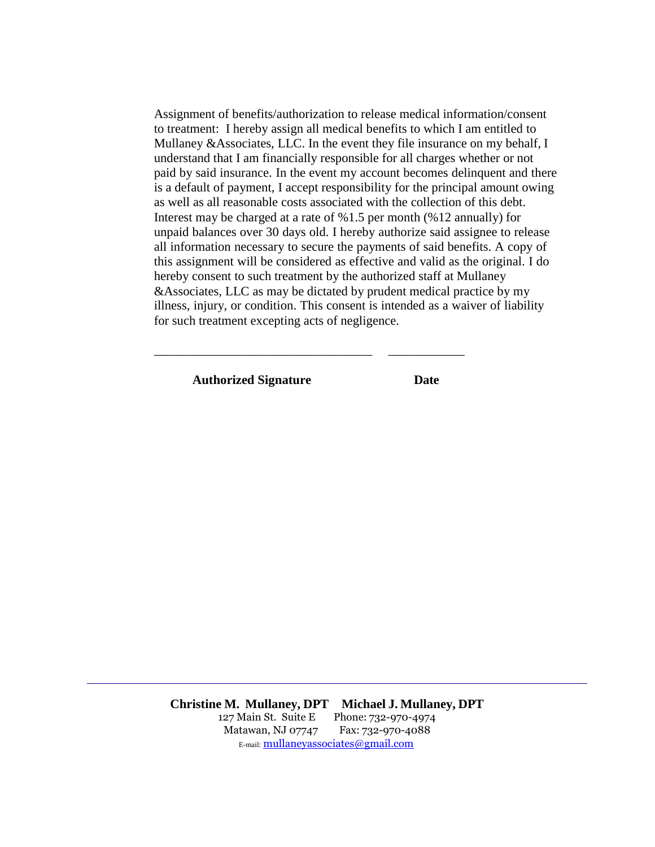Assignment of benefits/authorization to release medical information/consent to treatment: I hereby assign all medical benefits to which I am entitled to Mullaney &Associates, LLC. In the event they file insurance on my behalf, I understand that I am financially responsible for all charges whether or not paid by said insurance. In the event my account becomes delinquent and there is a default of payment, I accept responsibility for the principal amount owing as well as all reasonable costs associated with the collection of this debt. Interest may be charged at a rate of %1.5 per month (%12 annually) for unpaid balances over 30 days old. I hereby authorize said assignee to release all information necessary to secure the payments of said benefits. A copy of this assignment will be considered as effective and valid as the original. I do hereby consent to such treatment by the authorized staff at Mullaney &Associates, LLC as may be dictated by prudent medical practice by my illness, injury, or condition. This consent is intended as a waiver of liability for such treatment excepting acts of negligence.

**Authorized Signature Date**

\_\_\_\_\_\_\_\_\_\_\_\_\_\_\_\_\_\_\_\_\_\_\_\_\_\_\_\_\_\_\_\_\_\_ \_\_\_\_\_\_\_\_\_\_\_\_

**Christine M. Mullaney, DPT Michael J. Mullaney, DPT** 127 Main St. Suite E Phone: 732-970-4974 Matawan, NJ 07747 Fax: 732-970-4088 E-mail: mullaneyassociates@gmail.com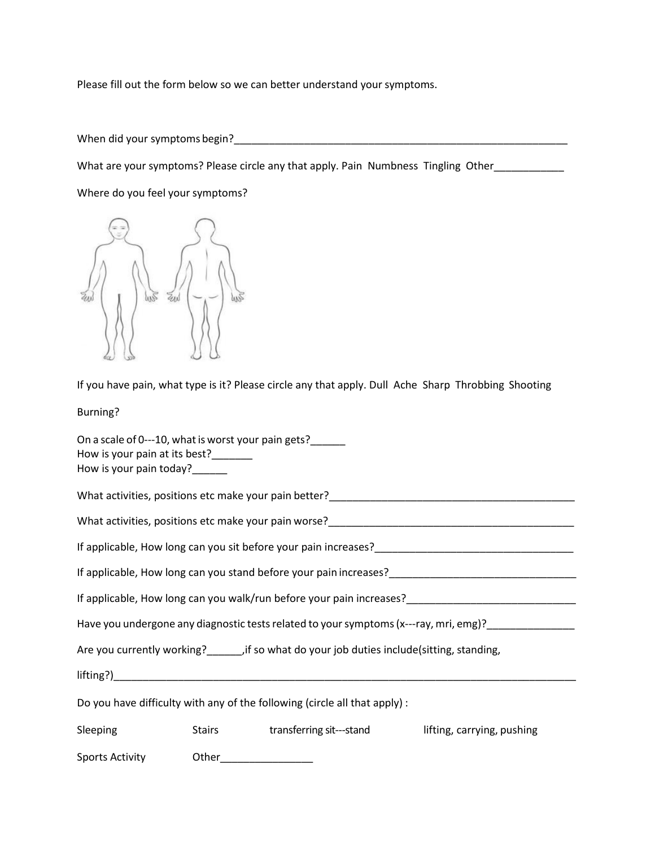Please fill out the form below so we can better understand your symptoms.

When did your symptoms begin?\_\_\_\_\_\_\_\_\_\_\_\_\_\_\_\_\_\_\_\_\_\_\_\_\_\_\_\_\_\_\_\_\_\_\_\_\_\_\_\_\_\_\_\_\_\_\_\_\_\_\_\_\_\_\_\_\_

What are your symptoms? Please circle any that apply. Pain Numbness Tingling Other\_\_\_\_\_\_\_\_\_\_\_\_

Where do you feel your symptoms?



If you have pain, what type is it? Please circle any that apply. Dull Ache Sharp Throbbing Shooting

Burning?

| On a scale of 0---10, what is worst your pain gets?<br>How is your pain at its best?_______<br>How is your pain today?______                                                                                                     |       |                                 |                            |  |  |
|----------------------------------------------------------------------------------------------------------------------------------------------------------------------------------------------------------------------------------|-------|---------------------------------|----------------------------|--|--|
| What activities, positions etc make your pain better?____________________________                                                                                                                                                |       |                                 |                            |  |  |
|                                                                                                                                                                                                                                  |       |                                 |                            |  |  |
|                                                                                                                                                                                                                                  |       |                                 |                            |  |  |
| If applicable, How long can you stand before your pain increases?<br>Subsequently according to the control of the control of the control of the control of the control of the control of the control of the control of the contr |       |                                 |                            |  |  |
| If applicable, How long can you walk/run before your pain increases?<br>The management of a management of a management of a management of a management of a management of a managemen                                            |       |                                 |                            |  |  |
|                                                                                                                                                                                                                                  |       |                                 |                            |  |  |
|                                                                                                                                                                                                                                  |       |                                 |                            |  |  |
|                                                                                                                                                                                                                                  |       |                                 |                            |  |  |
| Do you have difficulty with any of the following (circle all that apply) :                                                                                                                                                       |       |                                 |                            |  |  |
| Sleeping                                                                                                                                                                                                                         |       | Stairs transferring sit---stand | lifting, carrying, pushing |  |  |
| Sports Activity                                                                                                                                                                                                                  | Other |                                 |                            |  |  |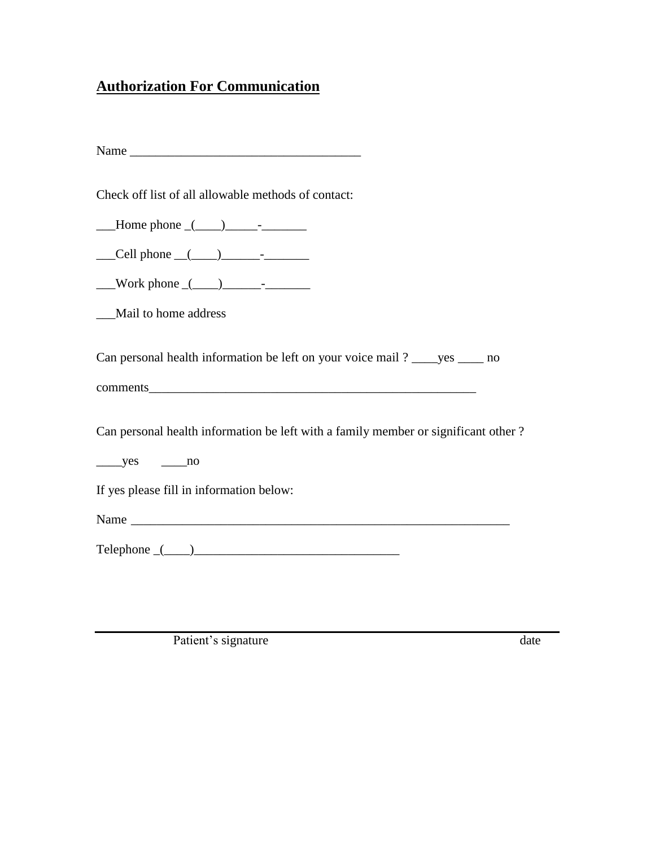# **Authorization For Communication**

| Name |  |
|------|--|
|------|--|

Check off list of all allowable methods of contact:

 $\blacksquare$  Home phone  $\lrcorner$   $\lrcorner$ 

 $\text{Cell phone} \_\text{con}$ 

 $\text{Work phone} \_\text{()}$ 

\_\_\_Mail to home address

Can personal health information be left on your voice mail ? \_\_\_\_yes \_\_\_\_ no

comments

Can personal health information be left with a family member or significant other ?

 $yes$  no

If yes please fill in information below:

Name \_\_\_\_\_\_\_\_\_\_\_\_\_\_\_\_\_\_\_\_\_\_\_\_\_\_\_\_\_\_\_\_\_\_\_\_\_\_\_\_\_\_\_\_\_\_\_\_\_\_\_\_\_\_\_\_\_\_\_

Telephone \_(\_\_\_\_)\_\_\_\_\_\_\_\_\_\_\_\_\_\_\_\_\_\_\_\_\_\_\_\_\_\_\_\_\_\_\_\_

Patient's signature date